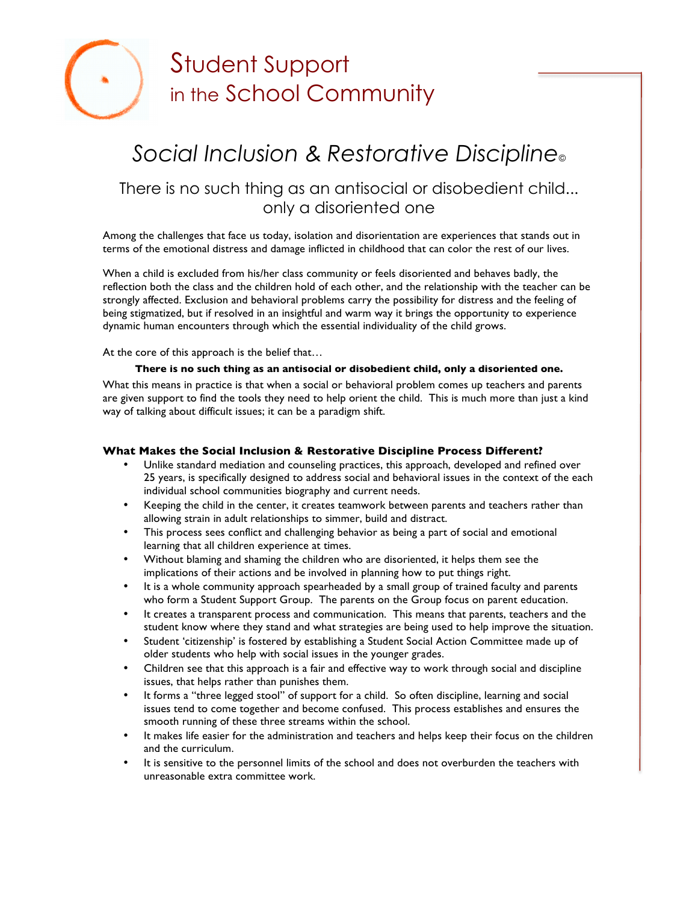

# Student Support in the School Community

# *Social Inclusion & Restorative Discipline©*

## There is no such thing as an antisocial or disobedient child... only a disoriented one

Among the challenges that face us today, isolation and disorientation are experiences that stands out in terms of the emotional distress and damage inflicted in childhood that can color the rest of our lives.

When a child is excluded from his/her class community or feels disoriented and behaves badly, the reflection both the class and the children hold of each other, and the relationship with the teacher can be strongly affected. Exclusion and behavioral problems carry the possibility for distress and the feeling of being stigmatized, but if resolved in an insightful and warm way it brings the opportunity to experience dynamic human encounters through which the essential individuality of the child grows.

At the core of this approach is the belief that…

### **There is no such thing as an antisocial or disobedient child, only a disoriented one.**

What this means in practice is that when a social or behavioral problem comes up teachers and parents are given support to find the tools they need to help orient the child. This is much more than just a kind way of talking about difficult issues; it can be a paradigm shift.

### **What Makes the Social Inclusion & Restorative Discipline Process Different?**

- Unlike standard mediation and counseling practices, this approach, developed and refined over 25 years, is specifically designed to address social and behavioral issues in the context of the each individual school communities biography and current needs.
- Keeping the child in the center, it creates teamwork between parents and teachers rather than allowing strain in adult relationships to simmer, build and distract.
- This process sees conflict and challenging behavior as being a part of social and emotional learning that all children experience at times.
- Without blaming and shaming the children who are disoriented, it helps them see the implications of their actions and be involved in planning how to put things right.
- It is a whole community approach spearheaded by a small group of trained faculty and parents who form a Student Support Group. The parents on the Group focus on parent education.
- It creates a transparent process and communication. This means that parents, teachers and the student know where they stand and what strategies are being used to help improve the situation.
- Student 'citizenship' is fostered by establishing a Student Social Action Committee made up of older students who help with social issues in the younger grades.
- Children see that this approach is a fair and effective way to work through social and discipline issues, that helps rather than punishes them.
- It forms a "three legged stool" of support for a child. So often discipline, learning and social issues tend to come together and become confused. This process establishes and ensures the smooth running of these three streams within the school.
- It makes life easier for the administration and teachers and helps keep their focus on the children and the curriculum.
- It is sensitive to the personnel limits of the school and does not overburden the teachers with unreasonable extra committee work.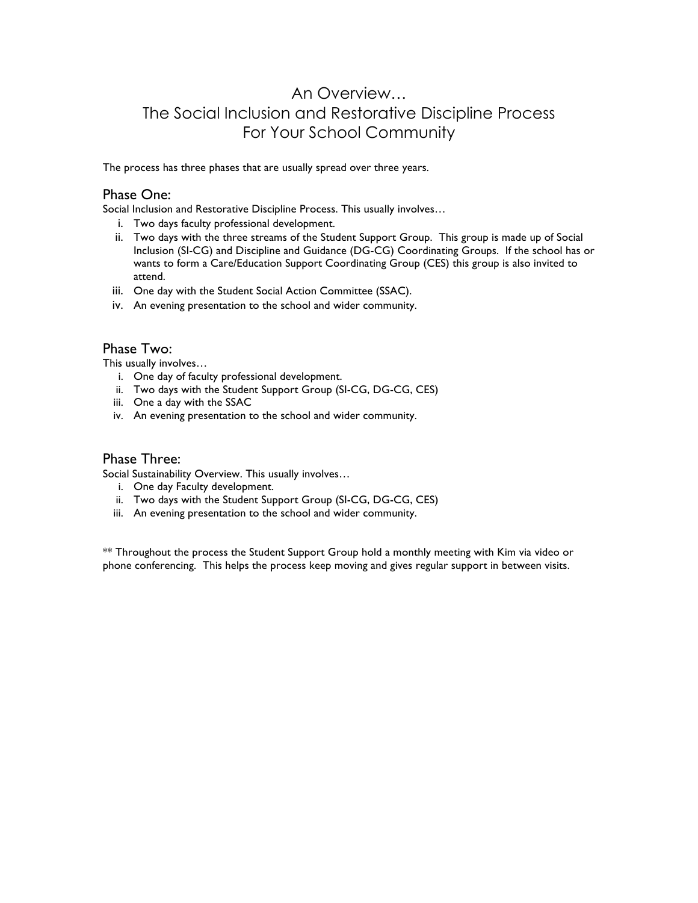## An Overview… The Social Inclusion and Restorative Discipline Process For Your School Community

The process has three phases that are usually spread over three years.

## Phase One:

Social Inclusion and Restorative Discipline Process. This usually involves…

- i. Two days faculty professional development.
- ii. Two days with the three streams of the Student Support Group. This group is made up of Social Inclusion (SI-CG) and Discipline and Guidance (DG-CG) Coordinating Groups. If the school has or wants to form a Care/Education Support Coordinating Group (CES) this group is also invited to attend.
- iii. One day with the Student Social Action Committee (SSAC).
- iv. An evening presentation to the school and wider community.

## Phase Two:

This usually involves…

- i. One day of faculty professional development.
- ii. Two days with the Student Support Group (SI-CG, DG-CG, CES)
- iii. One a day with the SSAC
- iv. An evening presentation to the school and wider community.

## Phase Three:

Social Sustainability Overview. This usually involves…

- i. One day Faculty development.
- ii. Two days with the Student Support Group (SI-CG, DG-CG, CES)
- iii. An evening presentation to the school and wider community.

\*\* Throughout the process the Student Support Group hold a monthly meeting with Kim via video or phone conferencing. This helps the process keep moving and gives regular support in between visits.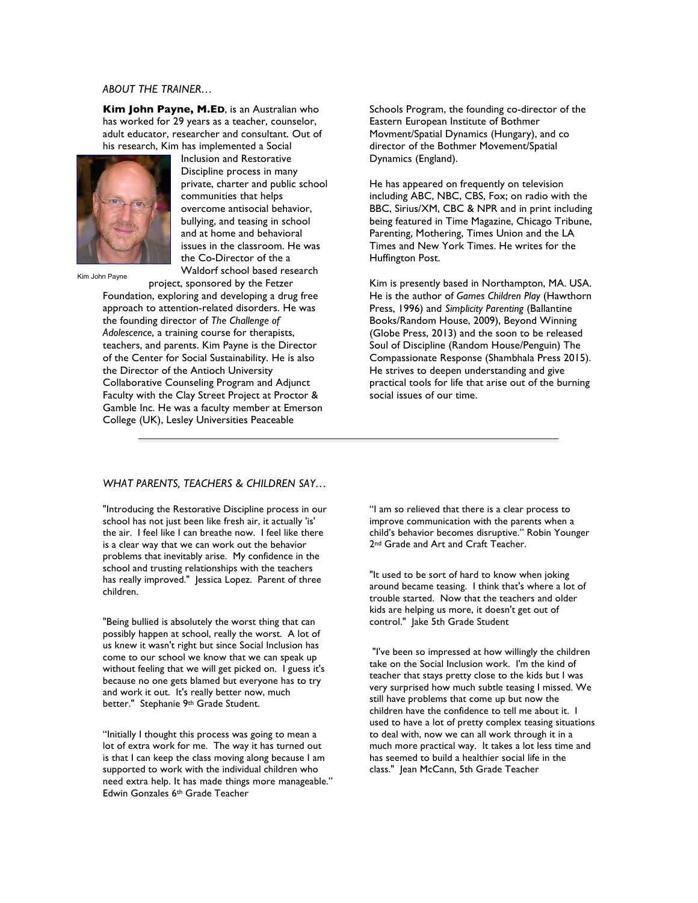#### *ABOUT THE TRAINER…*

**Kim John Payne, M.ED**, is an Australian who has worked for 29 years as a teacher, counselor, adult educator, researcher and consultant. Out of his research, Kim has implemented a Social



Kim John Payne

Inclusion and Restorative Discipline process in many private, charter and public school communities that helps overcome antisocial behavior, bullying, and teasing in school and at home and behavioral issues in the classroom. He was the Co-Director of the a Waldorf school based research

project, sponsored by the Fetzer Foundation, exploring and developing a drug free approach to attention-related disorders. He was the founding director of *The Challenge of Adolescence*, a training course for therapists, teachers, and parents. Kim Payne is the Director of the Center for Social Sustainability. He is also the Director of the Antioch University Collaborative Counseling Program and Adjunct Faculty with the Clay Street Project at Proctor & Gamble Inc. He was a faculty member at Emerson College (UK), Lesley Universities Peaceable

Schools Program, the founding co-director of the Eastern European Institute of Bothmer Movment/Spatial Dynamics (Hungary), and co director of the Bothmer Movement/Spatial Dynamics (England).

He has appeared on frequently on television including ABC, NBC, CBS, Fox; on radio with the BBC, Sirius/XM, CBC & NPR and in print including being featured in Time Magazine, Chicago Tribune, Parenting, Mothering, Times Union and the LA Times and New York Times. He writes for the Huffington Post.

Kim is presently based in Northampton, MA. USA. He is the author of *Games Children Play* (Hawthorn Press, 1996) and *Simplicity Parenting* (Ballantine Books/Random House, 2009), Beyond Winning (Globe Press, 2013) and the soon to be released Soul of Discipline (Random House/Penguin) The Compassionate Response (Shambhala Press 2015). He strives to deepen understanding and give practical tools for life that arise out of the burning social issues of our time.

#### *WHAT PARENTS, TEACHERS & CHILDREN SAY…*

"Introducing the Restorative Discipline process in our school has not just been like fresh air, it actually 'is' the air. I feel like I can breathe now. I feel like there is a clear way that we can work out the behavior problems that inevitably arise. My confidence in the school and trusting relationships with the teachers has really improved." Jessica Lopez. Parent of three children.

"Being bullied is absolutely the worst thing that can possibly happen at school, really the worst. A lot of us knew it wasn't right but since Social Inclusion has come to our school we know that we can speak up without feeling that we will get picked on. I guess it's because no one gets blamed but everyone has to try and work it out. It's really better now, much better." Stephanie 9th Grade Student.

"Initially I thought this process was going to mean a lot of extra work for me. The way it has turned out is that I can keep the class moving along because I am supported to work with the individual children who need extra help. It has made things more manageable." Edwin Gonzales 6th Grade Teacher

"I am so relieved that there is a clear process to improve communication with the parents when a child's behavior becomes disruptive." Robin Younger 2<sup>nd</sup> Grade and Art and Craft Teacher.

"It used to be sort of hard to know when joking around became teasing. I think that's where a lot of trouble started. Now that the teachers and older kids are helping us more, it doesn't get out of control." Jake 5th Grade Student

"I've been so impressed at how willingly the children take on the Social Inclusion work. I'm the kind of teacher that stays pretty close to the kids but I was very surprised how much subtle teasing I missed. We still have problems that come up but now the children have the confidence to tell me about it. I used to have a lot of pretty complex teasing situations to deal with, now we can all work through it in a much more practical way. It takes a lot less time and has seemed to build a healthier social life in the class." Jean McCann, 5th Grade Teacher